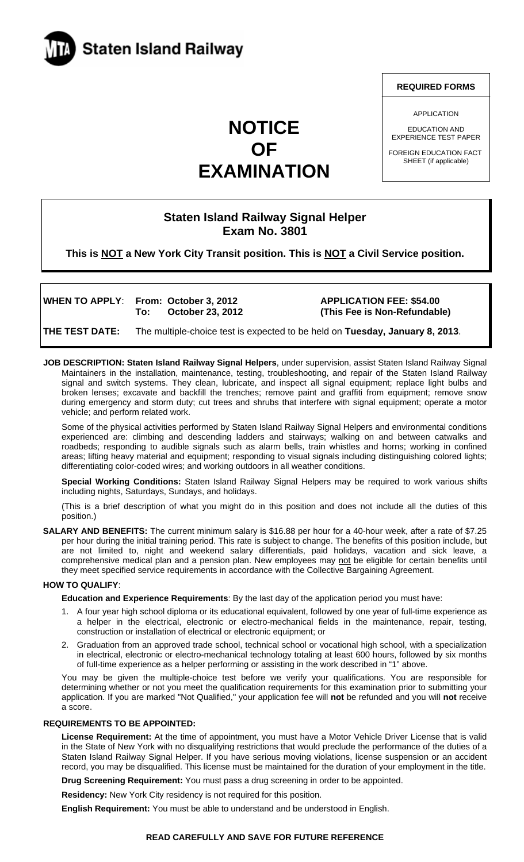

# **NOTICE OF EXAMINATION**

### **REQUIRED FORMS**

APPLICATION

EDUCATION AND EXPERIENCE TEST PAPER

FOREIGN EDUCATION FACT SHEET (if applicable)

# **Staten Island Railway Signal Helper Exam No. 3801**

**This is NOT a New York City Transit position. This is NOT a Civil Service position.** 

WHEN TO APPLY: From: October 3, 2012 **APPLICATION FEE: \$54.00** 

 **To: October 23, 2012 (This Fee is Non-Refundable)** 

**THE TEST DATE:** The multiple-choice test is expected to be held on **Tuesday, January 8, 2013**.

**JOB DESCRIPTION: Staten Island Railway Signal Helpers**, under supervision, assist Staten Island Railway Signal Maintainers in the installation, maintenance, testing, troubleshooting, and repair of the Staten Island Railway signal and switch systems. They clean, lubricate, and inspect all signal equipment; replace light bulbs and broken lenses; excavate and backfill the trenches; remove paint and graffiti from equipment; remove snow during emergency and storm duty; cut trees and shrubs that interfere with signal equipment; operate a motor vehicle; and perform related work.

Some of the physical activities performed by Staten Island Railway Signal Helpers and environmental conditions experienced are: climbing and descending ladders and stairways; walking on and between catwalks and roadbeds; responding to audible signals such as alarm bells, train whistles and horns; working in confined areas; lifting heavy material and equipment; responding to visual signals including distinguishing colored lights; differentiating color-coded wires; and working outdoors in all weather conditions.

**Special Working Conditions:** Staten Island Railway Signal Helpers may be required to work various shifts including nights, Saturdays, Sundays, and holidays.

(This is a brief description of what you might do in this position and does not include all the duties of this position.)

**SALARY AND BENEFITS:** The current minimum salary is \$16.88 per hour for a 40-hour week, after a rate of \$7.25 per hour during the initial training period. This rate is subject to change. The benefits of this position include, but are not limited to, night and weekend salary differentials, paid holidays, vacation and sick leave, a comprehensive medical plan and a pension plan. New employees may not be eligible for certain benefits until they meet specified service requirements in accordance with the Collective Bargaining Agreement.

#### **HOW TO QUALIFY**:

**Education and Experience Requirements**: By the last day of the application period you must have:

- 1. A four year high school diploma or its educational equivalent, followed by one year of full-time experience as a helper in the electrical, electronic or electro-mechanical fields in the maintenance, repair, testing, construction or installation of electrical or electronic equipment; or
- 2. Graduation from an approved trade school, technical school or vocational high school, with a specialization in electrical, electronic or electro-mechanical technology totaling at least 600 hours, followed by six months of full-time experience as a helper performing or assisting in the work described in "1" above.

You may be given the multiple-choice test before we verify your qualifications. You are responsible for determining whether or not you meet the qualification requirements for this examination prior to submitting your application. If you are marked "Not Qualified," your application fee will **not** be refunded and you will **not** receive a score.

# **REQUIREMENTS TO BE APPOINTED:**

**License Requirement:** At the time of appointment, you must have a Motor Vehicle Driver License that is valid in the State of New York with no disqualifying restrictions that would preclude the performance of the duties of a Staten Island Railway Signal Helper. If you have serious moving violations, license suspension or an accident record, you may be disqualified. This license must be maintained for the duration of your employment in the title.

**Drug Screening Requirement:** You must pass a drug screening in order to be appointed.

**Residency:** New York City residency is not required for this position.

**English Requirement:** You must be able to understand and be understood in English.

#### **READ CAREFULLY AND SAVE FOR FUTURE REFERENCE**